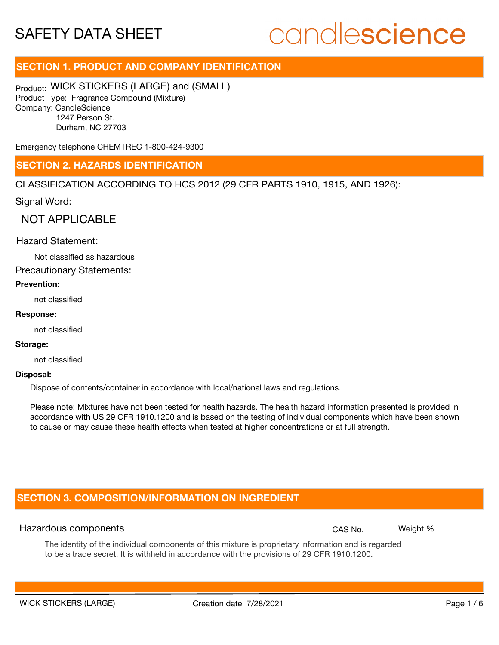## candlescience

### **SECTION 1. PRODUCT AND COMPANY IDENTIFICATION**

Product: WICK STICKERS (LARGE) and (SMALL) Product Type: Fragrance Compound (Mixture) Company: CandleScience 1247 Person St. Durham, NC 27703

Emergency telephone CHEMTREC 1-800-424-9300

### **SECTION 2. HAZARDS IDENTIFICATION**

CLASSIFICATION ACCORDING TO HCS 2012 (29 CFR PARTS 1910, 1915, AND 1926):

Signal Word:

NOT APPLICABLE

### Hazard Statement:

Not classified as hazardous

Precautionary Statements:

### **Prevention:**

not classified

### **Response:**

not classified

#### **Storage:**

not classified

#### **Disposal:**

Dispose of contents/container in accordance with local/national laws and regulations.

Please note: Mixtures have not been tested for health hazards. The health hazard information presented is provided in accordance with US 29 CFR 1910.1200 and is based on the testing of individual components which have been shown to cause or may cause these health effects when tested at higher concentrations or at full strength.

### **SECTION 3. COMPOSITION/INFORMATION ON INGREDIENT**

### Hazardous components **CAS No. Weight %** and CAS No. Weight %

The identity of the individual components of this mixture is proprietary information and is regarded to be a trade secret. It is withheld in accordance with the provisions of 29 CFR 1910.1200.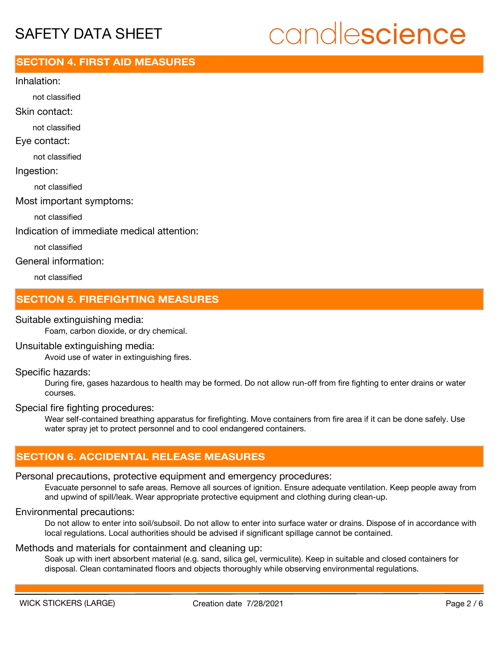## candlescience

### **SECTION 4. FIRST AID MEASURES**

Inhalation:

not classified

Skin contact:

not classified

Eye contact:

not classified

Ingestion:

not classified

Most important symptoms:

not classified

Indication of immediate medical attention:

not classified

General information:

not classified

### **SECTION 5. FIREFIGHTING MEASURES**

### Suitable extinguishing media:

Foam, carbon dioxide, or dry chemical.

### Unsuitable extinguishing media:

Avoid use of water in extinguishing fires.

### Specific hazards:

During fire, gases hazardous to health may be formed. Do not allow run-off from fire fighting to enter drains or water courses.

### Special fire fighting procedures:

Wear self-contained breathing apparatus for firefighting. Move containers from fire area if it can be done safely. Use water spray jet to protect personnel and to cool endangered containers.

### **SECTION 6. ACCIDENTAL RELEASE MEASURES**

### Personal precautions, protective equipment and emergency procedures:

Evacuate personnel to safe areas. Remove all sources of ignition. Ensure adequate ventilation. Keep people away from and upwind of spill/leak. Wear appropriate protective equipment and clothing during clean-up.

### Environmental precautions:

Do not allow to enter into soil/subsoil. Do not allow to enter into surface water or drains. Dispose of in accordance with local regulations. Local authorities should be advised if significant spillage cannot be contained.

### Methods and materials for containment and cleaning up:

Soak up with inert absorbent material (e.g. sand, silica gel, vermiculite). Keep in suitable and closed containers for disposal. Clean contaminated floors and objects thoroughly while observing environmental regulations.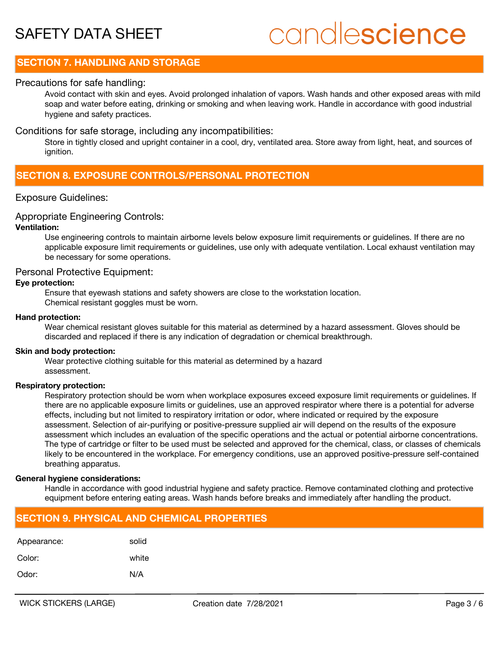## candlescience

### **SECTION 7. HANDLING AND STORAGE**

### Precautions for safe handling:

Avoid contact with skin and eyes. Avoid prolonged inhalation of vapors. Wash hands and other exposed areas with mild soap and water before eating, drinking or smoking and when leaving work. Handle in accordance with good industrial hygiene and safety practices.

### Conditions for safe storage, including any incompatibilities:

Store in tightly closed and upright container in a cool, dry, ventilated area. Store away from light, heat, and sources of ignition.

### **SECTION 8. EXPOSURE CONTROLS/PERSONAL PROTECTION**

### Exposure Guidelines:

### Appropriate Engineering Controls:

### **Ventilation:**

Use engineering controls to maintain airborne levels below exposure limit requirements or guidelines. If there are no applicable exposure limit requirements or guidelines, use only with adequate ventilation. Local exhaust ventilation may be necessary for some operations.

### Personal Protective Equipment:

### **Eye protection:**

Ensure that eyewash stations and safety showers are close to the workstation location. Chemical resistant goggles must be worn.

### **Hand protection:**

Wear chemical resistant gloves suitable for this material as determined by a hazard assessment. Gloves should be discarded and replaced if there is any indication of degradation or chemical breakthrough.

### **Skin and body protection:**

Wear protective clothing suitable for this material as determined by a hazard assessment.

### **Respiratory protection:**

Respiratory protection should be worn when workplace exposures exceed exposure limit requirements or guidelines. If there are no applicable exposure limits or guidelines, use an approved respirator where there is a potential for adverse effects, including but not limited to respiratory irritation or odor, where indicated or required by the exposure assessment. Selection of air-purifying or positive-pressure supplied air will depend on the results of the exposure assessment which includes an evaluation of the specific operations and the actual or potential airborne concentrations. The type of cartridge or filter to be used must be selected and approved for the chemical, class, or classes of chemicals likely to be encountered in the workplace. For emergency conditions, use an approved positive-pressure self-contained breathing apparatus.

### **General hygiene considerations:**

Handle in accordance with good industrial hygiene and safety practice. Remove contaminated clothing and protective equipment before entering eating areas. Wash hands before breaks and immediately after handling the product.

### **SECTION 9. PHYSICAL AND CHEMICAL PROPERTIES**

| Appearance: | solid |
|-------------|-------|
| Color:      | white |
| Odor:       | N/A   |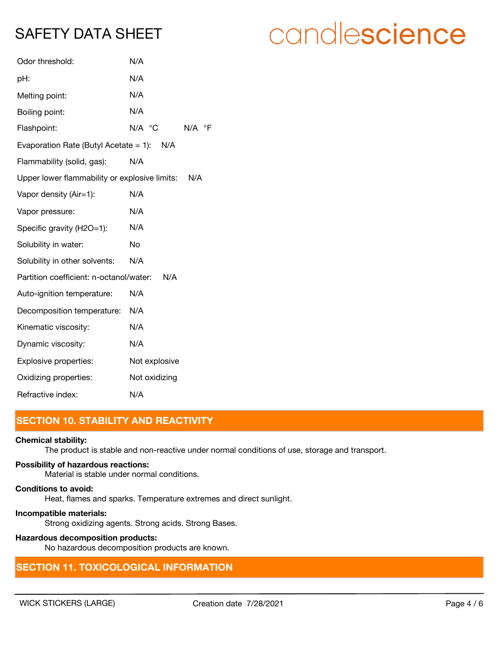| Odor threshold:                               | N/A                                     |
|-----------------------------------------------|-----------------------------------------|
| pH:                                           | N/A                                     |
| Melting point:                                | N/A                                     |
| Boiling point:                                | N/A                                     |
| Flashpoint:                                   | $N/A$ $^{\circ}$ C<br>$N/A$ $\degree$ F |
| Evaporation Rate (Butyl Acetate = 1): $N/A$   |                                         |
| Flammability (solid, gas):                    | N/A                                     |
| Upper lower flammability or explosive limits: | N/A                                     |
| Vapor density (Air=1):                        | N/A                                     |
| Vapor pressure:                               | N/A                                     |
| Specific gravity (H2O=1):                     | N/A                                     |
| Solubility in water:                          | No                                      |
| Solubility in other solvents:                 | N/A                                     |
| Partition coefficient: n-octanol/water:       | N/A                                     |
| Auto-ignition temperature:                    | N/A                                     |
| Decomposition temperature:                    | N/A                                     |
| Kinematic viscosity:                          | N/A                                     |
| Dynamic viscosity:                            | N/A                                     |
| Explosive properties:                         | Not explosive                           |
| Oxidizing properties:                         | Not oxidizing                           |
| Refractive index:                             | N/A                                     |

### **SECTION 10. STABILITY AND REACTIVITY**

### **Chemical stability:**

The product is stable and non-reactive under normal conditions of use, storage and transport.

### **Possibility of hazardous reactions:**

Material is stable under normal conditions.

### **Conditions to avoid:**

Heat, flames and sparks. Temperature extremes and direct sunlight.

### **Incompatible materials:**

Strong oxidizing agents. Strong acids. Strong Bases.

### **Hazardous decomposition products:**

No hazardous decomposition products are known.

### **SECTION 11. TOXICOLOGICAL INFORMATION**

## candlescience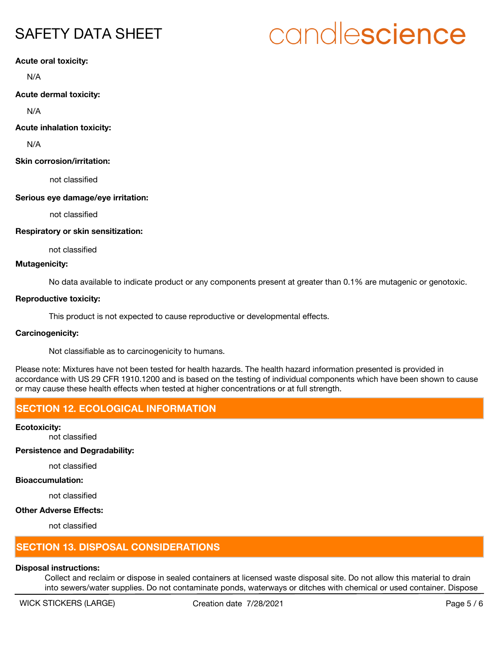# candlescience

**Acute oral toxicity:**

N/A

**Acute dermal toxicity:**

N/A

**Acute inhalation toxicity:**

N/A

### **Skin corrosion/irritation:**

not classified

### **Serious eye damage/eye irritation:**

not classified

### **Respiratory or skin sensitization:**

not classified

### **Mutagenicity:**

No data available to indicate product or any components present at greater than 0.1% are mutagenic or genotoxic.

### **Reproductive toxicity:**

This product is not expected to cause reproductive or developmental effects.

### **Carcinogenicity:**

Not classifiable as to carcinogenicity to humans.

Please note: Mixtures have not been tested for health hazards. The health hazard information presented is provided in accordance with US 29 CFR 1910.1200 and is based on the testing of individual components which have been shown to cause or may cause these health effects when tested at higher concentrations or at full strength.

### **SECTION 12. ECOLOGICAL INFORMATION**

**Ecotoxicity:**

not classified

### **Persistence and Degradability:**

not classified

### **Bioaccumulation:**

not classified

### **Other Adverse Effects:**

not classified

### **SECTION 13. DISPOSAL CONSIDERATIONS**

### **Disposal instructions:**

Collect and reclaim or dispose in sealed containers at licensed waste disposal site. Do not allow this material to drain into sewers/water supplies. Do not contaminate ponds, waterways or ditches with chemical or used container. Dispose